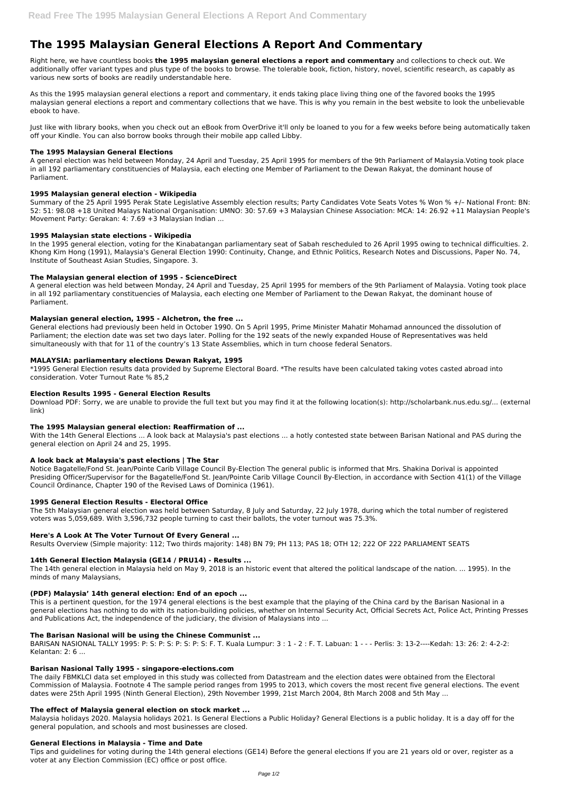# **The 1995 Malaysian General Elections A Report And Commentary**

Right here, we have countless books **the 1995 malaysian general elections a report and commentary** and collections to check out. We additionally offer variant types and plus type of the books to browse. The tolerable book, fiction, history, novel, scientific research, as capably as various new sorts of books are readily understandable here.

As this the 1995 malaysian general elections a report and commentary, it ends taking place living thing one of the favored books the 1995 malaysian general elections a report and commentary collections that we have. This is why you remain in the best website to look the unbelievable ebook to have.

Just like with library books, when you check out an eBook from OverDrive it'll only be loaned to you for a few weeks before being automatically taken off your Kindle. You can also borrow books through their mobile app called Libby.

## **The 1995 Malaysian General Elections**

A general election was held between Monday, 24 April and Tuesday, 25 April 1995 for members of the 9th Parliament of Malaysia.Voting took place in all 192 parliamentary constituencies of Malaysia, each electing one Member of Parliament to the Dewan Rakyat, the dominant house of Parliament.

## **1995 Malaysian general election - Wikipedia**

Summary of the 25 April 1995 Perak State Legislative Assembly election results; Party Candidates Vote Seats Votes % Won % +/– National Front: BN: 52: 51: 98.08 +18 United Malays National Organisation: UMNO: 30: 57.69 +3 Malaysian Chinese Association: MCA: 14: 26.92 +11 Malaysian People's Movement Party: Gerakan: 4: 7.69 +3 Malaysian Indian ...

## **1995 Malaysian state elections - Wikipedia**

In the 1995 general election, voting for the Kinabatangan parliamentary seat of Sabah rescheduled to 26 April 1995 owing to technical difficulties. 2. Khong Kim Hong (1991), Malaysia's General Election 1990: Continuity, Change, and Ethnic Politics, Research Notes and Discussions, Paper No. 74, Institute of Southeast Asian Studies, Singapore. 3.

## **The Malaysian general election of 1995 - ScienceDirect**

A general election was held between Monday, 24 April and Tuesday, 25 April 1995 for members of the 9th Parliament of Malaysia. Voting took place in all 192 parliamentary constituencies of Malaysia, each electing one Member of Parliament to the Dewan Rakyat, the dominant house of Parliament.

# **Malaysian general election, 1995 - Alchetron, the free ...**

General elections had previously been held in October 1990. On 5 April 1995, Prime Minister Mahatir Mohamad announced the dissolution of Parliament; the election date was set two days later. Polling for the 192 seats of the newly expanded House of Representatives was held simultaneously with that for 11 of the country's 13 State Assemblies, which in turn choose federal Senators.

#### **MALAYSIA: parliamentary elections Dewan Rakyat, 1995**

\*1995 General Election results data provided by Supreme Electoral Board. \*The results have been calculated taking votes casted abroad into consideration. Voter Turnout Rate % 85,2

# **Election Results 1995 - General Election Results**

Download PDF: Sorry, we are unable to provide the full text but you may find it at the following location(s): http://scholarbank.nus.edu.sg/... (external link)

#### **The 1995 Malaysian general election: Reaffirmation of ...**

With the 14th General Elections ... A look back at Malaysia's past elections ... a hotly contested state between Barisan National and PAS during the general election on April 24 and 25, 1995.

# **A look back at Malaysia's past elections | The Star**

Notice Bagatelle/Fond St. Jean/Pointe Carib Village Council By-Election The general public is informed that Mrs. Shakina Dorival is appointed Presiding Officer/Supervisor for the Bagatelle/Fond St. Jean/Pointe Carib Village Council By-Election, in accordance with Section 41(1) of the Village Council Ordinance, Chapter 190 of the Revised Laws of Dominica (1961).

#### **1995 General Election Results - Electoral Office**

The 5th Malaysian general election was held between Saturday, 8 July and Saturday, 22 July 1978, during which the total number of registered voters was 5,059,689. With 3,596,732 people turning to cast their ballots, the voter turnout was 75.3%.

# **Here's A Look At The Voter Turnout Of Every General ...**

Results Overview (Simple majority: 112; Two thirds majority: 148) BN 79; PH 113; PAS 18; OTH 12; 222 OF 222 PARLIAMENT SEATS

#### **14th General Election Malaysia (GE14 / PRU14) - Results ...**

The 14th general election in Malaysia held on May 9, 2018 is an historic event that altered the political landscape of the nation. ... 1995). In the minds of many Malaysians,

#### **(PDF) Malaysia' 14th general election: End of an epoch ...**

This is a pertinent question, for the 1974 general elections is the best example that the playing of the China card by the Barisan Nasional in a general elections has nothing to do with its nation-building policies, whether on Internal Security Act, Official Secrets Act, Police Act, Printing Presses and Publications Act, the independence of the judiciary, the division of Malaysians into ...

## **The Barisan Nasional will be using the Chinese Communist ...**

BARISAN NASIONAL TALLY 1995: P: S: P: S: P: S: P: S: F. T. Kuala Lumpur: 3 : 1 - 2 : F. T. Labuan: 1 - - - Perlis: 3: 13-2----Kedah: 13: 26: 2: 4-2-2: Kelantan: 2: 6 ...

#### **Barisan Nasional Tally 1995 - singapore-elections.com**

The daily FBMKLCI data set employed in this study was collected from Datastream and the election dates were obtained from the Electoral Commission of Malaysia. Footnote 4 The sample period ranges from 1995 to 2013, which covers the most recent five general elections. The event dates were 25th April 1995 (Ninth General Election), 29th November 1999, 21st March 2004, 8th March 2008 and 5th May ...

#### **The effect of Malaysia general election on stock market ...**

Malaysia holidays 2020. Malaysia holidays 2021. Is General Elections a Public Holiday? General Elections is a public holiday. It is a day off for the general population, and schools and most businesses are closed.

#### **General Elections in Malaysia - Time and Date**

Tips and guidelines for voting during the 14th general elections (GE14) Before the general elections If you are 21 years old or over, register as a voter at any Election Commission (EC) office or post office.